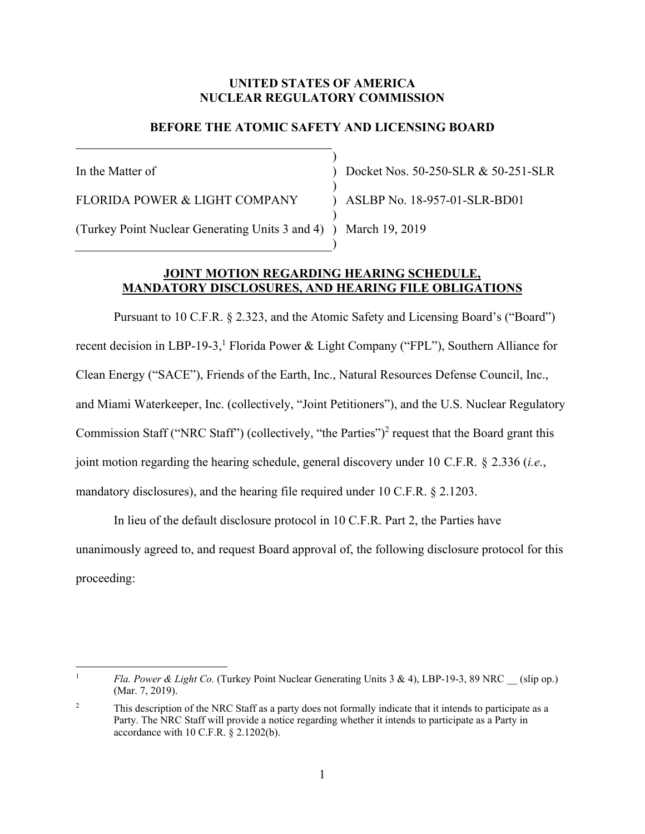### **UNITED STATES OF AMERICA NUCLEAR REGULATORY COMMISSION**

# **BEFORE THE ATOMIC SAFETY AND LICENSING BOARD**

) ) ) )

)

In the Matter of

FLORIDA POWER & LIGHT COMPANY

(Turkey Point Nuclear Generating Units 3 and 4) ) March 19, 2019 )

Docket Nos. 50-250-SLR & 50-251-SLR ASLBP No. 18-957-01-SLR-BD01

## **JOINT MOTION REGARDING HEARING SCHEDULE, MANDATORY DISCLOSURES, AND HEARING FILE OBLIGATIONS**

Pursuant to 10 C.F.R. § 2.323, and the Atomic Safety and Licensing Board's ("Board") recent decision in LBP-19-3,<sup>1</sup> Florida Power & Light Company ("FPL"), Southern Alliance for Clean Energy ("SACE"), Friends of the Earth, Inc., Natural Resources Defense Council, Inc., and Miami Waterkeeper, Inc. (collectively, "Joint Petitioners"), and the U.S. Nuclear Regulatory Commission Staff ("NRC Staff") (collectively, "the Parties")<sup>2</sup> request that the Board grant this joint motion regarding the hearing schedule, general discovery under 10 C.F.R. § 2.336 (*i.e.*, mandatory disclosures), and the hearing file required under 10 C.F.R. § 2.1203.

In lieu of the default disclosure protocol in 10 C.F.R. Part 2, the Parties have unanimously agreed to, and request Board approval of, the following disclosure protocol for this proceeding:

 $\overline{a}$ 1 *Fla. Power & Light Co.* (Turkey Point Nuclear Generating Units 3 & 4), LBP-19-3, 89 NRC (slip op.) (Mar. 7, 2019).

<sup>2</sup> This description of the NRC Staff as a party does not formally indicate that it intends to participate as a Party. The NRC Staff will provide a notice regarding whether it intends to participate as a Party in accordance with 10 C.F.R. § 2.1202(b).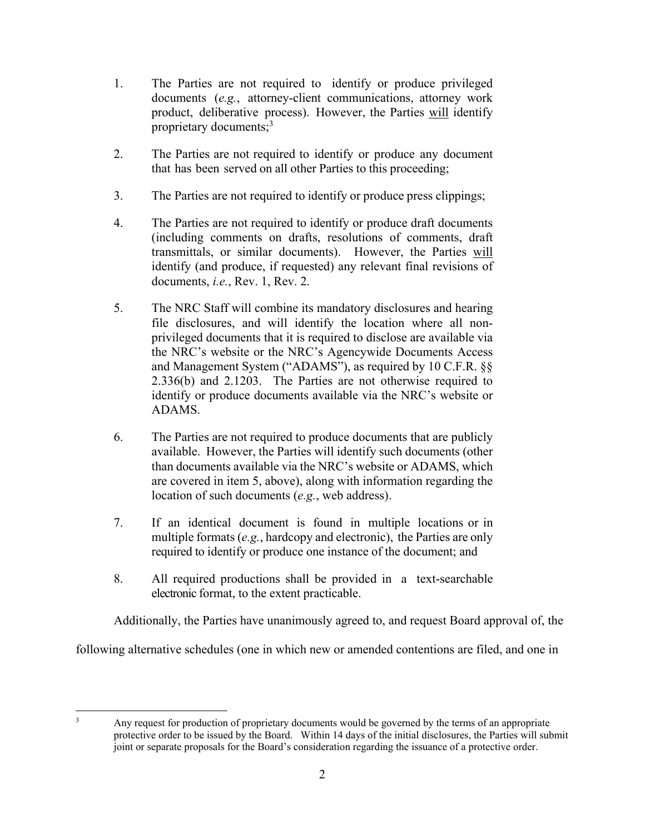- 1. The Parties are not required to identify or produce privileged documents (*e.g.*, attorney-client communications, attorney work product, deliberative process). However, the Parties will identify proprietary documents;<sup>3</sup>
- 2. The Parties are not required to identify or produce any document that has been served on all other Parties to this proceeding;
- 3. The Parties are not required to identify or produce press clippings;
- 4. The Parties are not required to identify or produce draft documents (including comments on drafts, resolutions of comments, draft transmittals, or similar documents). However, the Parties will identify (and produce, if requested) any relevant final revisions of documents, *i.e.*, Rev. 1, Rev. 2.
- 5. The NRC Staff will combine its mandatory disclosures and hearing file disclosures, and will identify the location where all nonprivileged documents that it is required to disclose are available via the NRC's website or the NRC's Agencywide Documents Access and Management System ("ADAMS"), as required by 10 C.F.R. §§ 2.336(b) and 2.1203. The Parties are not otherwise required to identify or produce documents available via the NRC's website or ADAMS.
- 6. The Parties are not required to produce documents that are publicly available. However, the Parties will identify such documents (other than documents available via the NRC's website or ADAMS, which are covered in item 5, above), along with information regarding the location of such documents (*e.g.*, web address).
- 7. If an identical document is found in multiple locations or in multiple formats (*e.g.*, hardcopy and electronic), the Parties are only required to identify or produce one instance of the document; and
- 8. All required productions shall be provided in a text-searchable electronic format, to the extent practicable.

Additionally, the Parties have unanimously agreed to, and request Board approval of, the

following alternative schedules (one in which new or amended contentions are filed, and one in

 $\overline{a}$ 3

Any request for production of proprietary documents would be governed by the terms of an appropriate protective order to be issued by the Board. Within 14 days of the initial disclosures, the Parties will submit joint or separate proposals for the Board's consideration regarding the issuance of a protective order.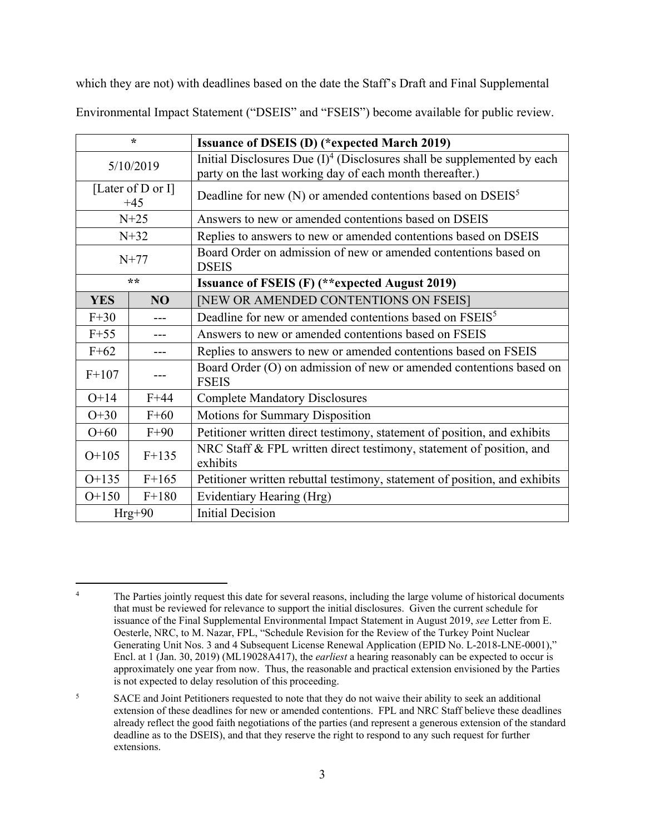which they are not) with deadlines based on the date the Staff's Draft and Final Supplemental

| $\star$                    |         | <b>Issuance of DSEIS (D) (*expected March 2019)</b>                                                                                    |
|----------------------------|---------|----------------------------------------------------------------------------------------------------------------------------------------|
| 5/10/2019                  |         | Initial Disclosures Due $(I)^4$ (Disclosures shall be supplemented by each<br>party on the last working day of each month thereafter.) |
| [Later of D or I]<br>$+45$ |         | Deadline for new $(N)$ or amended contentions based on DSEIS <sup>5</sup>                                                              |
| $N+25$                     |         | Answers to new or amended contentions based on DSEIS                                                                                   |
| $N+32$                     |         | Replies to answers to new or amended contentions based on DSEIS                                                                        |
| $N+77$                     |         | Board Order on admission of new or amended contentions based on<br><b>DSEIS</b>                                                        |
| **                         |         | <b>Issuance of FSEIS (F) (**expected August 2019)</b>                                                                                  |
| <b>YES</b>                 | NO      | [NEW OR AMENDED CONTENTIONS ON FSEIS]                                                                                                  |
| $F+30$                     |         | Deadline for new or amended contentions based on FSEIS <sup>5</sup>                                                                    |
| $F+55$                     |         | Answers to new or amended contentions based on FSEIS                                                                                   |
| $F+62$                     |         | Replies to answers to new or amended contentions based on FSEIS                                                                        |
| $F+107$                    |         | Board Order (O) on admission of new or amended contentions based on<br><b>FSEIS</b>                                                    |
| $O+14$                     | $F+44$  | <b>Complete Mandatory Disclosures</b>                                                                                                  |
| $O+30$                     | $F+60$  | <b>Motions for Summary Disposition</b>                                                                                                 |
| $O+60$                     | $F+90$  | Petitioner written direct testimony, statement of position, and exhibits                                                               |
| $O+105$                    | $F+135$ | NRC Staff & FPL written direct testimony, statement of position, and<br>exhibits                                                       |
| $O+135$                    | $F+165$ | Petitioner written rebuttal testimony, statement of position, and exhibits                                                             |
| $O+150$                    | $F+180$ | Evidentiary Hearing (Hrg)                                                                                                              |
| $Hrg+90$                   |         | <b>Initial Decision</b>                                                                                                                |

Environmental Impact Statement ("DSEIS" and "FSEIS") become available for public review.

 $\overline{a}$ 

<sup>4</sup> The Parties jointly request this date for several reasons, including the large volume of historical documents that must be reviewed for relevance to support the initial disclosures. Given the current schedule for issuance of the Final Supplemental Environmental Impact Statement in August 2019, *see* Letter from E. Oesterle, NRC, to M. Nazar, FPL, "Schedule Revision for the Review of the Turkey Point Nuclear Generating Unit Nos. 3 and 4 Subsequent License Renewal Application (EPID No. L-2018-LNE-0001)," Encl. at 1 (Jan. 30, 2019) (ML19028A417), the *earliest* a hearing reasonably can be expected to occur is approximately one year from now. Thus, the reasonable and practical extension envisioned by the Parties is not expected to delay resolution of this proceeding.

<sup>5</sup> SACE and Joint Petitioners requested to note that they do not waive their ability to seek an additional extension of these deadlines for new or amended contentions. FPL and NRC Staff believe these deadlines already reflect the good faith negotiations of the parties (and represent a generous extension of the standard deadline as to the DSEIS), and that they reserve the right to respond to any such request for further extensions.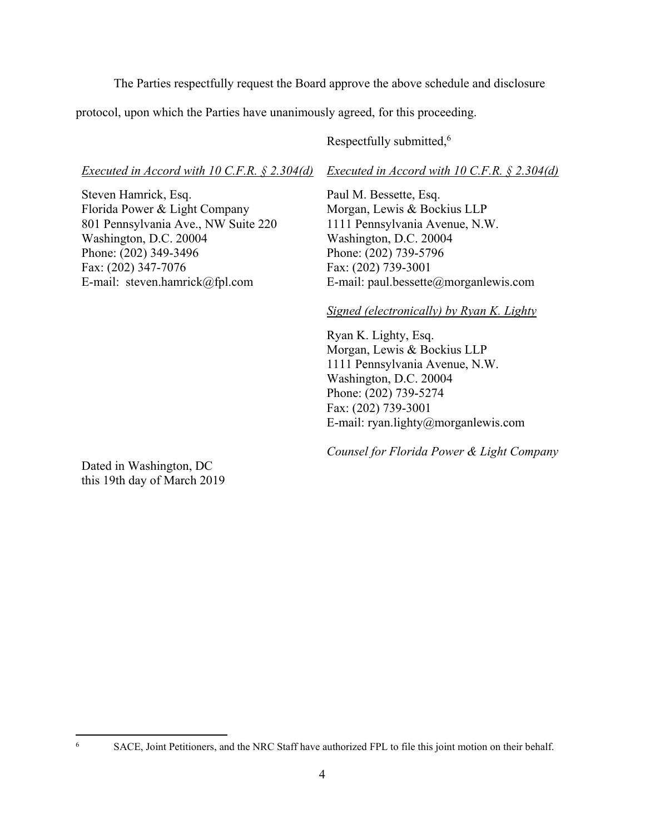The Parties respectfully request the Board approve the above schedule and disclosure

protocol, upon which the Parties have unanimously agreed, for this proceeding.

Respectfully submitted,<sup>6</sup>

*Executed in Accord with 10 C.F.R. § 2.304(d)* 

Steven Hamrick, Esq. Florida Power & Light Company 801 Pennsylvania Ave., NW Suite 220 Washington, D.C. 20004 Phone: (202) 349-3496 Fax: (202) 347-7076 E-mail: steven.hamrick@fpl.com

*Executed in Accord with 10 C.F.R. § 2.304(d)* 

Paul M. Bessette, Esq. Morgan, Lewis & Bockius LLP 1111 Pennsylvania Avenue, N.W. Washington, D.C. 20004 Phone: (202) 739-5796 Fax: (202) 739-3001 E-mail: paul.bessette@morganlewis.com

## *Signed (electronically) by Ryan K. Lighty*

 Ryan K. Lighty, Esq. Morgan, Lewis & Bockius LLP 1111 Pennsylvania Avenue, N.W. Washington, D.C. 20004 Phone: (202) 739-5274 Fax: (202) 739-3001 E-mail: ryan.lighty@morganlewis.com

*Counsel for Florida Power & Light Company* 

Dated in Washington, DC this 19th day of March 2019

 $\overline{a}$ 6

SACE, Joint Petitioners, and the NRC Staff have authorized FPL to file this joint motion on their behalf.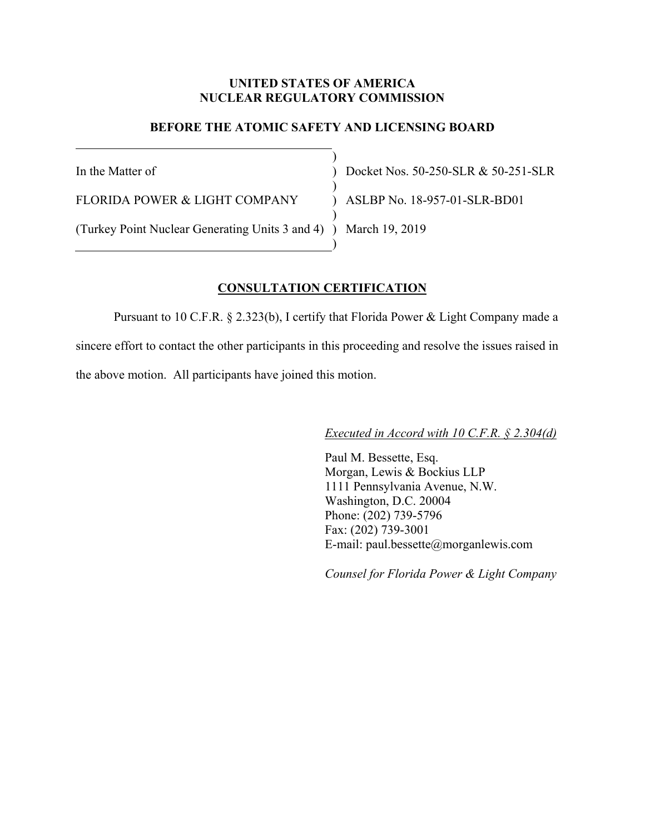## **UNITED STATES OF AMERICA NUCLEAR REGULATORY COMMISSION**

## **BEFORE THE ATOMIC SAFETY AND LICENSING BOARD**

) ) )  $\lambda$ )

)

In the Matter of

FLORIDA POWER & LIGHT COMPANY

(Turkey Point Nuclear Generating Units 3 and 4) ) March 19, 2019

Docket Nos. 50-250-SLR & 50-251-SLR ASLBP No. 18-957-01-SLR-BD01

#### **CONSULTATION CERTIFICATION**

 Pursuant to 10 C.F.R. § 2.323(b), I certify that Florida Power & Light Company made a sincere effort to contact the other participants in this proceeding and resolve the issues raised in the above motion. All participants have joined this motion.

*Executed in Accord with 10 C.F.R. § 2.304(d)* 

 Paul M. Bessette, Esq. Morgan, Lewis & Bockius LLP 1111 Pennsylvania Avenue, N.W. Washington, D.C. 20004 Phone: (202) 739-5796 Fax: (202) 739-3001 E-mail: paul.bessette@morganlewis.com

*Counsel for Florida Power & Light Company*